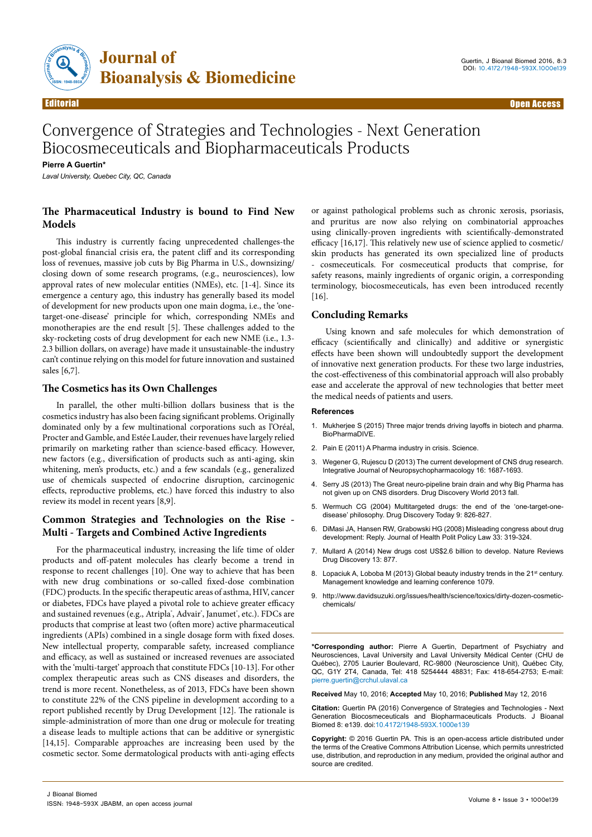

# Convergence of Strategies and Technologies - Next Generation Biocosmeceuticals and Biopharmaceuticals Products

**Pierre A Guertin\***

*Laval University, Quebec City, QC, Canada*

# **The Pharmaceutical Industry is bound to Find New Models**

This industry is currently facing unprecedented challenges-the post-global financial crisis era, the patent cliff and its corresponding loss of revenues, massive job cuts by Big Pharma in U.S., downsizing/ closing down of some research programs, (e.g., neurosciences), low approval rates of new molecular entities (NMEs), etc. [1-4]. Since its emergence a century ago, this industry has generally based its model of development for new products upon one main dogma, i.e., the 'onetarget-one-disease' principle for which, corresponding NMEs and monotherapies are the end result [5]. These challenges added to the sky-rocketing costs of drug development for each new NME (i.e., 1.3- 2.3 billion dollars, on average) have made it unsustainable-the industry can't continue relying on this model for future innovation and sustained sales [6,7].

## **The Cosmetics has its Own Challenges**

In parallel, the other multi-billion dollars business that is the cosmetics industry has also been facing significant problems. Originally dominated only by a few multinational corporations such as l'Oréal, Procter and Gamble, and Estée Lauder, their revenues have largely relied primarily on marketing rather than science-based efficacy. However, new factors (e.g., diversification of products such as anti-aging, skin whitening, men's products, etc.) and a few scandals (e.g., generalized use of chemicals suspected of endocrine disruption, carcinogenic effects, reproductive problems, etc.) have forced this industry to also review its model in recent years [8,9].

## **Common Strategies and Technologies on the Rise - Multi - Targets and Combined Active Ingredients**

For the pharmaceutical industry, increasing the life time of older products and off-patent molecules has clearly become a trend in response to recent challenges [10]. One way to achieve that has been with new drug combinations or so-called fixed-dose combination (FDC) products. In the specific therapeutic areas of asthma, HIV, cancer or diabetes, FDCs have played a pivotal role to achieve greater efficacy and sustained revenues (e.g., Atripla˚, Advair˚, Janumet˚, etc.). FDCs are products that comprise at least two (often more) active pharmaceutical ingredients (APIs) combined in a single dosage form with fixed doses. New intellectual property, comparable safety, increased compliance and efficacy, as well as sustained or increased revenues are associated with the 'multi-target' approach that constitute FDCs [10-13]. For other complex therapeutic areas such as CNS diseases and disorders, the trend is more recent. Nonetheless, as of 2013, FDCs have been shown to constitute 22% of the CNS pipeline in development according to a report published recently by Drug Development [12]. The rationale is simple-administration of more than one drug or molecule for treating a disease leads to multiple actions that can be additive or synergistic [14,15]. Comparable approaches are increasing been used by the cosmetic sector. Some dermatological products with anti-aging effects

or against pathological problems such as chronic xerosis, psoriasis, and pruritus are now also relying on combinatorial approaches using clinically-proven ingredients with scientifically-demonstrated efficacy [16,17]. This relatively new use of science applied to cosmetic/ skin products has generated its own specialized line of products - cosmeceuticals. For cosmeceutical products that comprise, for safety reasons, mainly ingredients of organic origin, a corresponding terminology, biocosmeceuticals, has even been introduced recently [16].

### **Concluding Remarks**

Using known and safe molecules for which demonstration of efficacy (scientifically and clinically) and additive or synergistic effects have been shown will undoubtedly support the development of innovative next generation products. For these two large industries, the cost-effectiveness of this combinatorial approach will also probably ease and accelerate the approval of new technologies that better meet the medical needs of patients and users.

#### **References**

- 1. [Mukherjee S \(2015\) Three major trends driving layoffs in biotech and pharma.](http://www.biopharmadive.com/news/3-major-trends-driving-layoffs-in-biotech-and-pharma/399484/) [BioPharmaDIVE.](http://www.biopharmadive.com/news/3-major-trends-driving-layoffs-in-biotech-and-pharma/399484/)
- 2. [Pain E \(2011\) A Pharma industry in crisis. Science.](http://www.sciencemag.org/careers/2011/12/pharma-industry-crisis)
- 3. [Wegener G, Rujescu D \(2013\) The current development of CNS drug research.](http://journals.cambridge.org/action/displayAbstract?fromPage=online&aid=8951157&fileId=S1461145713000345)  [Integrative Journal of Neuropsychopharmacology 16: 1687-1693.](http://journals.cambridge.org/action/displayAbstract?fromPage=online&aid=8951157&fileId=S1461145713000345)
- 4. [Serry JS \(2013\) The Great neuro-pipeline brain drain and why Big Pharma has](http://www.ddw-online.com/therapeutics/p216813-the-great-neuro-pipeline-brain-drain-%28and-why-big-pharma-hasn-t-given-up-on-cns-disorders%29-fall-13.html)  [not given up on CNS disorders. Drug Discovery World 2013 fall.](http://www.ddw-online.com/therapeutics/p216813-the-great-neuro-pipeline-brain-drain-%28and-why-big-pharma-hasn-t-given-up-on-cns-disorders%29-fall-13.html)
- 5. [Wermuch CG \(2004\) Multitargeted drugs: the end of the 'one-target-one](http://www.ncbi.nlm.nih.gov/pubmed/15381132)[disease' philosophy. Drug Discovery Today 9: 826-827.](http://www.ncbi.nlm.nih.gov/pubmed/15381132)
- 6. [DiMasi JA, Hansen RW, Grabowski HG \(2008\) Misleading congress about drug](http://jhppl.dukejournals.org/content/33/2/319.short)  [development: Reply. Journal of Health Polit Policy Law 33: 319-324.](http://jhppl.dukejournals.org/content/33/2/319.short)
- 7. [Mullard A \(2014\) New drugs cost US\\$2.6 billion to develop. Nature Reviews](http://www.nature.com/nrd/journal/v13/n12/full/nrd4508.html) [Drug Discovery 13: 877.](http://www.nature.com/nrd/journal/v13/n12/full/nrd4508.html)
- 8. Lopaciuk A, Loboba M (2013) Global beauty industry trends in the 21<sup>st</sup> century. [Management knowledge and learning conference 1079.](http://www.toknowpress.net/ISBN/978-961-6914-02-4/papers/ML13-365.pdf)
- 9. [http://www.davidsuzuki.org/issues/health/science/toxics/dirty-dozen-cosmetic](http://www.davidsuzuki.org/issues/health/science/toxics/dirty-dozen-cosmetic-chemicals/)[chemicals/](http://www.davidsuzuki.org/issues/health/science/toxics/dirty-dozen-cosmetic-chemicals/)

**\*Corresponding author:** Pierre A Guertin, Department of Psychiatry and Neurosciences, Laval University and Laval University Médical Center (CHU de Québec), 2705 Laurier Boulevard, RC-9800 (Neuroscience Unit), Québec City, QC, G1Y 2T4, Canada, Tel: 418 5254444 48831; Fax: 418-654-2753; E-mail: pierre.guertin@crchul.ulaval.ca

**Received** May 10, 2016; **Accepted** May 10, 2016; **Published** May 12, 2016

**Citation:** Guertin PA (2016) Convergence of Strategies and Technologies - Next Generation Biocosmeceuticals and Biopharmaceuticals Products. J Bioanal Biomed 8: e139. doi:10.4172/1948-593X.1000e139

**Copyright:** © 2016 Guertin PA. This is an open-access article distributed under the terms of the Creative Commons Attribution License, which permits unrestricted use, distribution, and reproduction in any medium, provided the original author and source are credited.